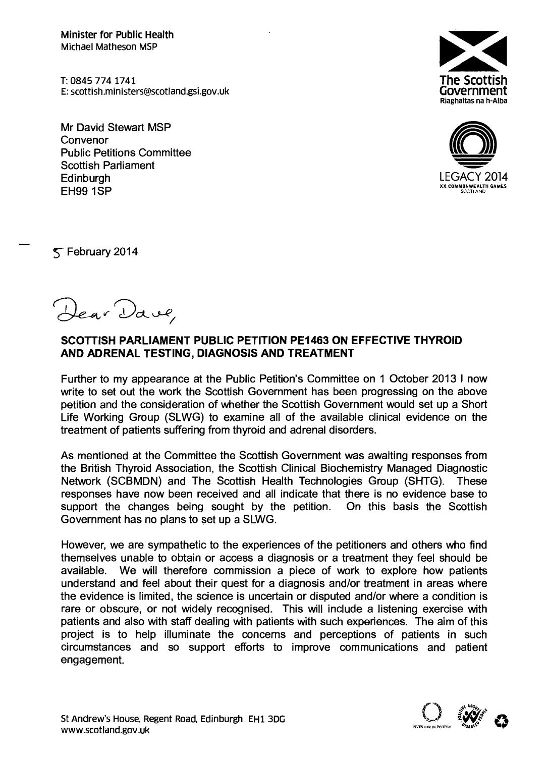Minister for Public Health Michael Matheson MSP

T: 08457741741 E: scottish.m in [isters@scotland.gsi.gov.uk](mailto:isters@scotland.gsi.gov.uk)

Mr David Stewart MSP Convenor Public Petitions Committee Scottish Parliament **Edinburgh** EH99 1SP





 $\leq$  February 2014

*~v~ct\_~/*

## SCOTTISH PARLIAMENT PUBLIC PETITION PE1463 ON EFFECTIVE THYROID AND ADRENAL TESTING, DIAGNOSIS AND TREATMENT

Further to my appearance at the Public Petition's Committee on 1 October 2013 I now write to set out the work the Scottish Government has been progressing on the above petition and the consideration of whether the Scottish Government would set up a Short Life Working Group (SLWG) to examine all of the available clinical evidence on the treatment of patients suffering from thyroid and adrenal disorders.

As mentioned at the Committee the Scottish Government was awaiting responses from the British Thyroid Association, the Scottish Clinical Biochemistry Managed Diagnostic Network (SCBMDN) and The Scottish Health Technologies Group (SHTG). These responses have now been received and all indicate that there is no evidence base to support the changes being sought by the petition. On this basis the Scottish Government has no plans to set up a SLWG.

However, we are sympathetic to the experiences of the petitioners and others who find themselves unable to obtain or access a diagnosis or a treatment they feel should be available. We will therefore commission a piece of work to explore how patients understand and feel about their quest for a diagnosis and/or treatment in areas where the evidence is limited, the science is uncertain or disputed and/or where a condition is rare or obscure, or not widely recognised. This will include a listening exercise with patients and also with staff dealing with patients with such experiences. The aim of this project is to help illuminate the concerns and perceptions of patients in such circumstances and so support efforts to improve communications and patient engagement.